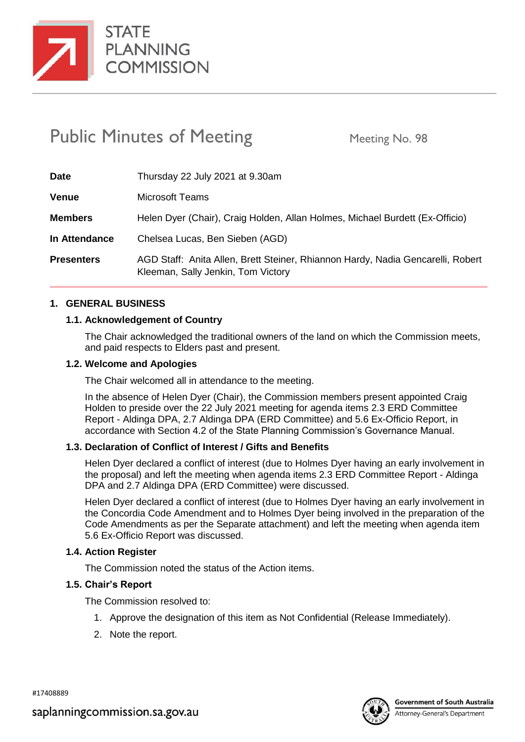

**STATE PLANNING COMMISSION** 

# Public Minutes of Meeting Meeting No. 98

| <b>Date</b>       | Thursday 22 July 2021 at 9.30am                                                                                       |
|-------------------|-----------------------------------------------------------------------------------------------------------------------|
| <b>Venue</b>      | <b>Microsoft Teams</b>                                                                                                |
| <b>Members</b>    | Helen Dyer (Chair), Craig Holden, Allan Holmes, Michael Burdett (Ex-Officio)                                          |
| In Attendance     | Chelsea Lucas, Ben Sieben (AGD)                                                                                       |
| <b>Presenters</b> | AGD Staff: Anita Allen, Brett Steiner, Rhiannon Hardy, Nadia Gencarelli, Robert<br>Kleeman, Sally Jenkin, Tom Victory |

## **1. GENERAL BUSINESS**

# **1.1. Acknowledgement of Country**

The Chair acknowledged the traditional owners of the land on which the Commission meets, and paid respects to Elders past and present.

#### **1.2. Welcome and Apologies**

The Chair welcomed all in attendance to the meeting.

In the absence of Helen Dyer (Chair), the Commission members present appointed Craig Holden to preside over the 22 July 2021 meeting for agenda items 2.3 ERD Committee Report - Aldinga DPA, 2.7 Aldinga DPA (ERD Committee) and 5.6 Ex-Officio Report, in accordance with Section 4.2 of the State Planning Commission's Governance Manual.

#### **1.3. Declaration of Conflict of Interest / Gifts and Benefits**

Helen Dyer declared a conflict of interest (due to Holmes Dyer having an early involvement in the proposal) and left the meeting when agenda items 2.3 ERD Committee Report - Aldinga DPA and 2.7 Aldinga DPA (ERD Committee) were discussed.

Helen Dyer declared a conflict of interest (due to Holmes Dyer having an early involvement in the Concordia Code Amendment and to Holmes Dyer being involved in the preparation of the Code Amendments as per the Separate attachment) and left the meeting when agenda item 5.6 Ex-Officio Report was discussed.

#### **1.4. Action Register**

The Commission noted the status of the Action items.

#### **1.5. Chair's Report**

The Commission resolved to:

- 1. Approve the designation of this item as Not Confidential (Release Immediately).
- 2. Note the report.

#17408889

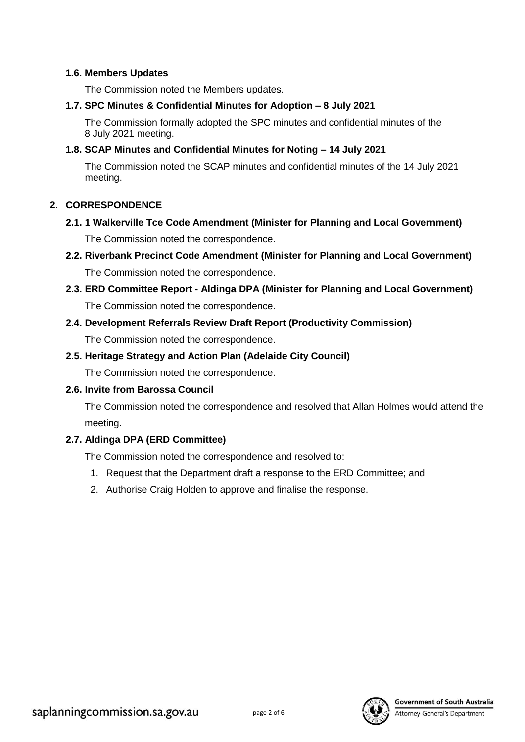#### **1.6. Members Updates**

The Commission noted the Members updates.

#### **1.7. SPC Minutes & Confidential Minutes for Adoption – 8 July 2021**

The Commission formally adopted the SPC minutes and confidential minutes of the 8 July 2021 meeting.

## **1.8. SCAP Minutes and Confidential Minutes for Noting – 14 July 2021**

The Commission noted the SCAP minutes and confidential minutes of the 14 July 2021 meeting.

#### **2. CORRESPONDENCE**

**2.1. 1 Walkerville Tce Code Amendment (Minister for Planning and Local Government)**

The Commission noted the correspondence.

- **2.2. Riverbank Precinct Code Amendment (Minister for Planning and Local Government)** The Commission noted the correspondence.
- **2.3. ERD Committee Report - Aldinga DPA (Minister for Planning and Local Government)** The Commission noted the correspondence.

## **2.4. Development Referrals Review Draft Report (Productivity Commission)**

The Commission noted the correspondence.

# **2.5. Heritage Strategy and Action Plan (Adelaide City Council)**

The Commission noted the correspondence.

# **2.6. Invite from Barossa Council**

The Commission noted the correspondence and resolved that Allan Holmes would attend the meeting.

# **2.7. Aldinga DPA (ERD Committee)**

The Commission noted the correspondence and resolved to:

- 1. Request that the Department draft a response to the ERD Committee; and
- 2. Authorise Craig Holden to approve and finalise the response.



**Government of South Australia**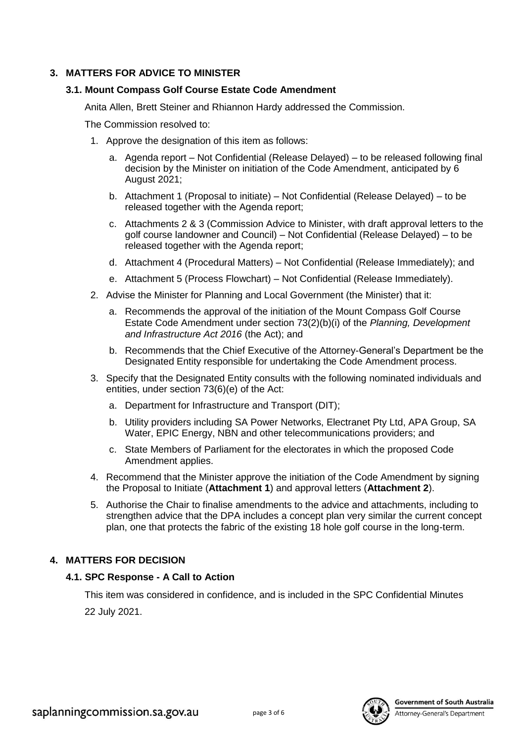# **3. MATTERS FOR ADVICE TO MINISTER**

## **3.1. Mount Compass Golf Course Estate Code Amendment**

Anita Allen, Brett Steiner and Rhiannon Hardy addressed the Commission.

The Commission resolved to:

- 1. Approve the designation of this item as follows:
	- a. Agenda report Not Confidential (Release Delayed) to be released following final decision by the Minister on initiation of the Code Amendment, anticipated by 6 August 2021;
	- b. Attachment 1 (Proposal to initiate) Not Confidential (Release Delayed) to be released together with the Agenda report;
	- c. Attachments 2 & 3 (Commission Advice to Minister, with draft approval letters to the golf course landowner and Council) – Not Confidential (Release Delayed) – to be released together with the Agenda report;
	- d. Attachment 4 (Procedural Matters) Not Confidential (Release Immediately); and
	- e. Attachment 5 (Process Flowchart) Not Confidential (Release Immediately).
- 2. Advise the Minister for Planning and Local Government (the Minister) that it:
	- a. Recommends the approval of the initiation of the Mount Compass Golf Course Estate Code Amendment under section 73(2)(b)(i) of the *Planning, Development and Infrastructure Act 2016* (the Act); and
	- b. Recommends that the Chief Executive of the Attorney-General's Department be the Designated Entity responsible for undertaking the Code Amendment process.
- 3. Specify that the Designated Entity consults with the following nominated individuals and entities, under section 73(6)(e) of the Act:
	- a. Department for Infrastructure and Transport (DIT);
	- b. Utility providers including SA Power Networks, Electranet Pty Ltd, APA Group, SA Water, EPIC Energy, NBN and other telecommunications providers; and
	- c. State Members of Parliament for the electorates in which the proposed Code Amendment applies.
- 4. Recommend that the Minister approve the initiation of the Code Amendment by signing the Proposal to Initiate (**Attachment 1**) and approval letters (**Attachment 2**).
- 5. Authorise the Chair to finalise amendments to the advice and attachments, including to strengthen advice that the DPA includes a concept plan very similar the current concept plan, one that protects the fabric of the existing 18 hole golf course in the long-term.

#### **4. MATTERS FOR DECISION**

#### **4.1. SPC Response - A Call to Action**

This item was considered in confidence, and is included in the SPC Confidential Minutes 22 July 2021.

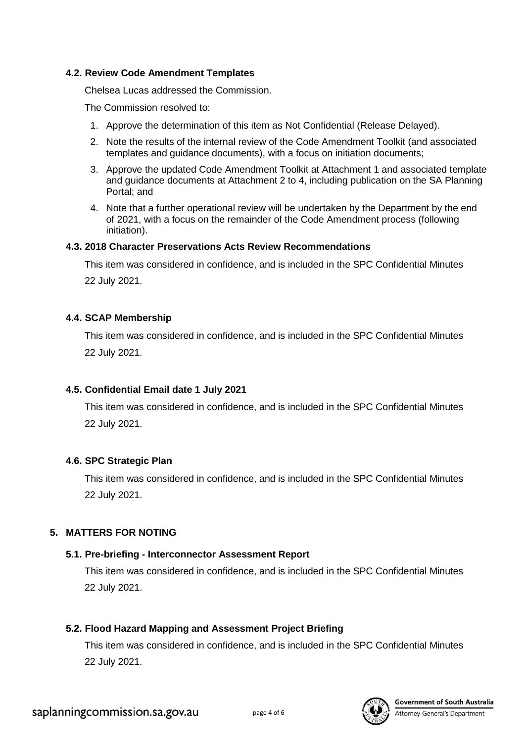#### **4.2. Review Code Amendment Templates**

Chelsea Lucas addressed the Commission.

The Commission resolved to:

- 1. Approve the determination of this item as Not Confidential (Release Delayed).
- 2. Note the results of the internal review of the Code Amendment Toolkit (and associated templates and guidance documents), with a focus on initiation documents;
- 3. Approve the updated Code Amendment Toolkit at Attachment 1 and associated template and guidance documents at Attachment 2 to 4, including publication on the SA Planning Portal; and
- 4. Note that a further operational review will be undertaken by the Department by the end of 2021, with a focus on the remainder of the Code Amendment process (following initiation).

## **4.3. 2018 Character Preservations Acts Review Recommendations**

This item was considered in confidence, and is included in the SPC Confidential Minutes 22 July 2021.

## **4.4. SCAP Membership**

This item was considered in confidence, and is included in the SPC Confidential Minutes 22 July 2021.

# **4.5. Confidential Email date 1 July 2021**

This item was considered in confidence, and is included in the SPC Confidential Minutes 22 July 2021.

# **4.6. SPC Strategic Plan**

This item was considered in confidence, and is included in the SPC Confidential Minutes 22 July 2021.

# **5. MATTERS FOR NOTING**

# **5.1. Pre-briefing - Interconnector Assessment Report**

This item was considered in confidence, and is included in the SPC Confidential Minutes 22 July 2021.

# **5.2. Flood Hazard Mapping and Assessment Project Briefing**

This item was considered in confidence, and is included in the SPC Confidential Minutes 22 July 2021.

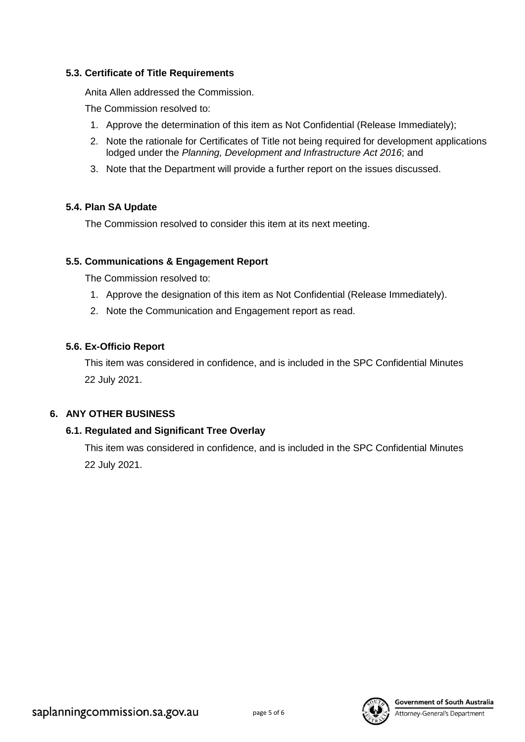## **5.3. Certificate of Title Requirements**

Anita Allen addressed the Commission.

The Commission resolved to:

- 1. Approve the determination of this item as Not Confidential (Release Immediately);
- 2. Note the rationale for Certificates of Title not being required for development applications lodged under the *Planning, Development and Infrastructure Act 2016*; and
- 3. Note that the Department will provide a further report on the issues discussed.

# **5.4. Plan SA Update**

The Commission resolved to consider this item at its next meeting.

# **5.5. Communications & Engagement Report**

The Commission resolved to:

- 1. Approve the designation of this item as Not Confidential (Release Immediately).
- 2. Note the Communication and Engagement report as read.

# **5.6. Ex-Officio Report**

This item was considered in confidence, and is included in the SPC Confidential Minutes 22 July 2021.

# **6. ANY OTHER BUSINESS**

# **6.1. Regulated and Significant Tree Overlay**

This item was considered in confidence, and is included in the SPC Confidential Minutes 22 July 2021.



Attorney-General's Department